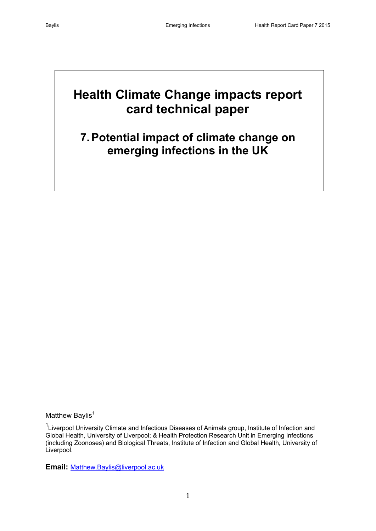# **Health Climate Change impacts report card technical paper**

## **7.Potential impact of climate change on emerging infections in the UK**

Matthew Baylis $<sup>1</sup>$ </sup>

<sup>1</sup> Liverpool University Climate and Infectious Diseases of Animals group, Institute of Infection and Global Health, University of Liverpool; & Health Protection Research Unit in Emerging Infections (including Zoonoses) and Biological Threats, Institute of Infection and Global Health, University of Liverpool.

**Email:** [Matthew.Baylis@liverpool.ac.uk](mailto:Matthew.Baylis@liverpool.ac.uk)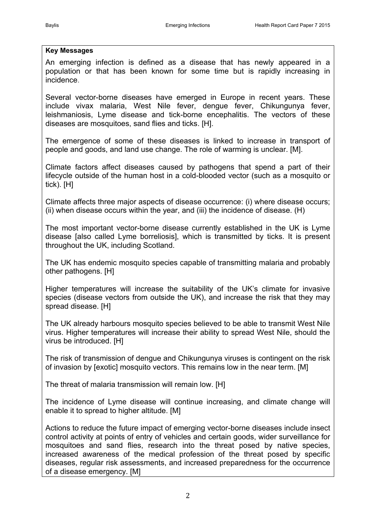#### **Key Messages**

An emerging infection is defined as a disease that has newly appeared in a population or that has been known for some time but is rapidly increasing in incidence.

Several vector-borne diseases have emerged in Europe in recent years. These include vivax malaria, West Nile fever, dengue fever, Chikungunya fever, leishmaniosis, Lyme disease and tick-borne encephalitis. The vectors of these diseases are mosquitoes, sand flies and ticks. [H].

The emergence of some of these diseases is linked to increase in transport of people and goods, and land use change. The role of warming is unclear. [M].

Climate factors affect diseases caused by pathogens that spend a part of their lifecycle outside of the human host in a cold-blooded vector (such as a mosquito or tick). [H]

Climate affects three major aspects of disease occurrence: (i) where disease occurs; (ii) when disease occurs within the year, and (iii) the incidence of disease. (H)

The most important vector-borne disease currently established in the UK is Lyme disease [also called Lyme borreliosis], which is transmitted by ticks. It is present throughout the UK, including Scotland.

The UK has endemic mosquito species capable of transmitting malaria and probably other pathogens. [H]

Higher temperatures will increase the suitability of the UK's climate for invasive species (disease vectors from outside the UK), and increase the risk that they may spread disease. [H]

The UK already harbours mosquito species believed to be able to transmit West Nile virus. Higher temperatures will increase their ability to spread West Nile, should the virus be introduced. [H]

The risk of transmission of dengue and Chikungunya viruses is contingent on the risk of invasion by [exotic] mosquito vectors. This remains low in the near term. [M]

The threat of malaria transmission will remain low. [H]

The incidence of Lyme disease will continue increasing, and climate change will enable it to spread to higher altitude. [M]

Actions to reduce the future impact of emerging vector-borne diseases include insect control activity at points of entry of vehicles and certain goods, wider surveillance for mosquitoes and sand flies, research into the threat posed by native species, increased awareness of the medical profession of the threat posed by specific diseases, regular risk assessments, and increased preparedness for the occurrence of a disease emergency. [M]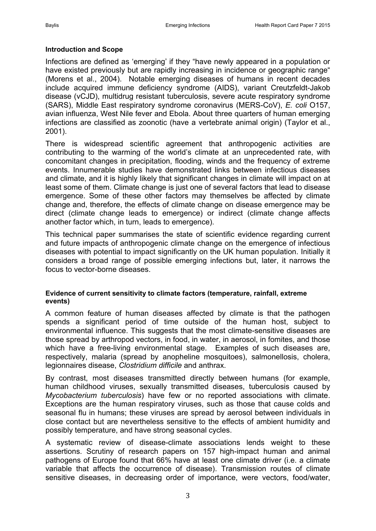#### **Introduction and Scope**

Infections are defined as 'emerging' if they "have newly appeared in a population or have existed previously but are rapidly increasing in incidence or geographic range" [\(Morens et al., 2004\)](#page-15-0). Notable emerging diseases of humans in recent decades include acquired immune deficiency syndrome (AIDS), variant Creutzfeldt-Jakob disease (vCJD), multidrug resistant tuberculosis, severe acute respiratory syndrome (SARS), Middle East respiratory syndrome coronavirus (MERS-CoV), *E. coli* O157, avian influenza, West Nile fever and Ebola. About three quarters of human emerging infections are classified as zoonotic (have a vertebrate animal origin) [\(Taylor et al.,](#page-15-1)  [2001\)](#page-15-1).

There is widespread scientific agreement that anthropogenic activities are contributing to the warming of the world's climate at an unprecedented rate, with concomitant changes in precipitation, flooding, winds and the frequency of extreme events. Innumerable studies have demonstrated links between infectious diseases and climate, and it is highly likely that significant changes in climate will impact on at least some of them. Climate change is just one of several factors that lead to disease emergence. Some of these other factors may themselves be affected by climate change and, therefore, the effects of climate change on disease emergence may be direct (climate change leads to emergence) or indirect (climate change affects another factor which, in turn, leads to emergence).

This technical paper summarises the state of scientific evidence regarding current and future impacts of anthropogenic climate change on the emergence of infectious diseases with potential to impact significantly on the UK human population. Initially it considers a broad range of possible emerging infections but, later, it narrows the focus to vector-borne diseases.

#### **Evidence of current sensitivity to climate factors (temperature, rainfall, extreme events)**

A common feature of human diseases affected by climate is that the pathogen spends a significant period of time outside of the human host, subject to environmental influence. This suggests that the most climate-sensitive diseases are those spread by arthropod vectors, in food, in water, in aerosol, in fomites, and those which have a free-living environmental stage. Examples of such diseases are, respectively, malaria (spread by anopheline mosquitoes), salmonellosis, cholera, legionnaires disease, *Clostridium difficile* and anthrax.

By contrast, most diseases transmitted directly between humans (for example, human childhood viruses, sexually transmitted diseases, tuberculosis caused by *Mycobacterium tuberculosis*) have few or no reported associations with climate. Exceptions are the human respiratory viruses, such as those that cause colds and seasonal flu in humans; these viruses are spread by aerosol between individuals in close contact but are nevertheless sensitive to the effects of ambient humidity and possibly temperature, and have strong seasonal cycles.

A systematic review of disease-climate associations lends weight to these assertions. Scrutiny of research papers on 157 high-impact human and animal pathogens of Europe found that 66% have at least one climate driver (i.e. a climate variable that affects the occurrence of disease). Transmission routes of climate sensitive diseases, in decreasing order of importance, were vectors, food/water,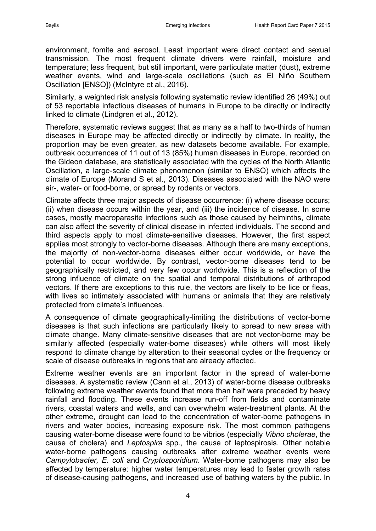environment, fomite and aerosol. Least important were direct contact and sexual transmission. The most frequent climate drivers were rainfall, moisture and temperature; less frequent, but still important, were particulate matter (dust), extreme weather events, wind and large-scale oscillations (such as El Niño Southern Oscillation [ENSO]) [\(McIntyre et al., 2016\)](#page-14-0).

Similarly, a weighted risk analysis following systematic review identified 26 (49%) out of 53 reportable infectious diseases of humans in Europe to be directly or indirectly linked to climate [\(Lindgren et al., 2012\)](#page-14-1).

Therefore, systematic reviews suggest that as many as a half to two-thirds of human diseases in Europe may be affected directly or indirectly by climate. In reality, the proportion may be even greater, as new datasets become available. For example, outbreak occurrences of 11 out of 13 (85%) human diseases in Europe, recorded on the Gideon database, are statistically associated with the cycles of the North Atlantic Oscillation, a large-scale climate phenomenon (similar to ENSO) which affects the climate of Europe [\(Morand S et al., 2013\)](#page-15-2). Diseases associated with the NAO were air-, water- or food-borne, or spread by rodents or vectors.

Climate affects three major aspects of disease occurrence: (i) where disease occurs; (ii) when disease occurs within the year, and (iii) the incidence of disease. In some cases, mostly macroparasite infections such as those caused by helminths, climate can also affect the severity of clinical disease in infected individuals. The second and third aspects apply to most climate-sensitive diseases. However, the first aspect applies most strongly to vector-borne diseases. Although there are many exceptions, the majority of non-vector-borne diseases either occur worldwide, or have the potential to occur worldwide. By contrast, vector-borne diseases tend to be geographically restricted, and very few occur worldwide. This is a reflection of the strong influence of climate on the spatial and temporal distributions of arthropod vectors. If there are exceptions to this rule, the vectors are likely to be lice or fleas, with lives so intimately associated with humans or animals that they are relatively protected from climate's influences.

A consequence of climate geographically-limiting the distributions of vector-borne diseases is that such infections are particularly likely to spread to new areas with climate change. Many climate-sensitive diseases that are not vector-borne may be similarly affected (especially water-borne diseases) while others will most likely respond to climate change by alteration to their seasonal cycles or the frequency or scale of disease outbreaks in regions that are already affected.

Extreme weather events are an important factor in the spread of water-borne diseases. A systematic review [\(Cann et al., 2013\)](#page-13-0) of water-borne disease outbreaks following extreme weather events found that more than half were preceded by heavy rainfall and flooding. These events increase run-off from fields and contaminate rivers, coastal waters and wells, and can overwhelm water-treatment plants. At the other extreme, drought can lead to the concentration of water-borne pathogens in rivers and water bodies, increasing exposure risk. The most common pathogens causing water-borne disease were found to be vibrios (especially *Vibrio cholerae*, the cause of cholera) and *Leptospira* spp., the cause of leptospirosis. Other notable water-borne pathogens causing outbreaks after extreme weather events were *Campylobacter, E. coli* and *Cryptosporidium*. Water-borne pathogens may also be affected by temperature: higher water temperatures may lead to faster growth rates of disease-causing pathogens, and increased use of bathing waters by the public. In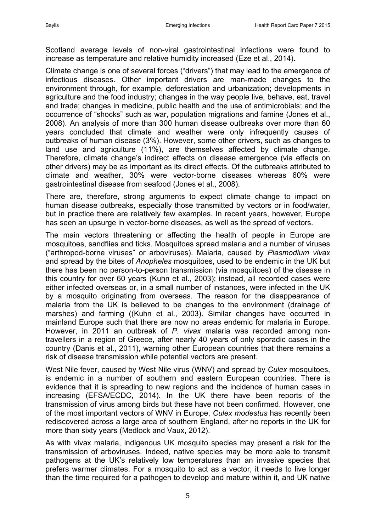Scotland average levels of non-viral gastrointestinal infections were found to increase as temperature and relative humidity increased [\(Eze et al., 2014\)](#page-13-1).

Climate change is one of several forces ("drivers") that may lead to the emergence of infectious diseases. Other important drivers are man-made changes to the environment through, for example, deforestation and urbanization; developments in agriculture and the food industry; changes in the way people live, behave, eat, travel and trade; changes in medicine, public health and the use of antimicrobials; and the occurrence of "shocks" such as war, population migrations and famine [\(Jones et al.,](#page-14-2)  [2008\)](#page-14-2). An analysis of more than 300 human disease outbreaks over more than 60 years concluded that climate and weather were only infrequently causes of outbreaks of human disease (3%). However, some other drivers, such as changes to land use and agriculture (11%), are themselves affected by climate change. Therefore, climate change's indirect effects on disease emergence (via effects on other drivers) may be as important as its direct effects. Of the outbreaks attributed to climate and weather, 30% were vector-borne diseases whereas 60% were gastrointestinal disease from seafood [\(Jones et al., 2008\)](#page-14-2).

There are, therefore, strong arguments to expect climate change to impact on human disease outbreaks, especially those transmitted by vectors or in food/water, but in practice there are relatively few examples. In recent years, however, Europe has seen an upsurge in vector-borne diseases, as well as the spread of vectors.

The main vectors threatening or affecting the health of people in Europe are mosquitoes, sandflies and ticks. Mosquitoes spread malaria and a number of viruses ("arthropod-borne viruses" or arboviruses). Malaria, caused by *Plasmodium vivax* and spread by the bites of *Anopheles* mosquitoes, used to be endemic in the UK but there has been no person-to-person transmission (via mosquitoes) of the disease in this country for over 60 years [\(Kuhn et al., 2003\)](#page-14-3); instead, all recorded cases were either infected overseas or, in a small number of instances, were infected in the UK by a mosquito originating from overseas. The reason for the disappearance of malaria from the UK is believed to be changes to the environment (drainage of marshes) and farming ([\(Kuhn et al., 2003\)](#page-13-2). Similar changes have occurred in mainland Europe such that there are now no areas endemic for malaria in Europe. However, in 2011 an outbreak of *P. vivax* malaria was recorded among nontravellers in a region of Greece, after nearly 40 years of only sporadic cases in the country [\(Danis et al., 2011\)](#page-13-3), warning other European countries that there remains a risk of disease transmission while potential vectors are present.

West Nile fever, caused by West Nile virus (WNV) and spread by *Culex* mosquitoes, is endemic in a number of southern and eastern European countries. There is evidence that it is spreading to new regions and the incidence of human cases in increasing [\(EFSA/ECDC, 2014\)](#page-13-4). In the UK there have been reports of the transmission of virus among birds but these have not been confirmed. However, one of the most important vectors of WNV in Europe, *Culex modestus* has recently been rediscovered across a large area of southern England, after no reports in the UK for more than sixty years [\(Medlock and Vaux, 2012\)](#page-14-4).

As with vivax malaria, indigenous UK mosquito species may present a risk for the transmission of arboviruses. Indeed, native species may be more able to transmit pathogens at the UK's relatively low temperatures than an invasive species that prefers warmer climates. For a mosquito to act as a vector, it needs to live longer than the time required for a pathogen to develop and mature within it, and UK native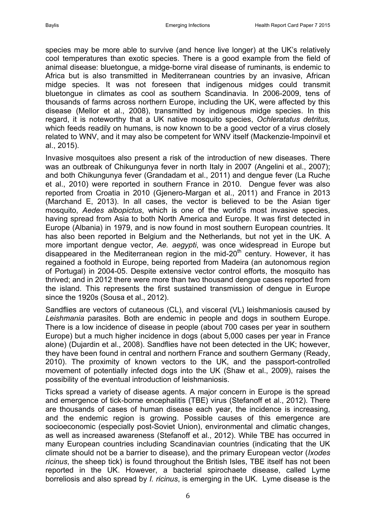species may be more able to survive (and hence live longer) at the UK's relatively cool temperatures than exotic species. There is a good example from the field of animal disease: bluetongue, a midge-borne viral disease of ruminants, is endemic to Africa but is also transmitted in Mediterranean countries by an invasive, African midge species. It was not foreseen that indigenous midges could transmit bluetongue in climates as cool as southern Scandinavia. In 2006-2009, tens of thousands of farms across northern Europe, including the UK, were affected by this disease [\(Mellor et al., 2008\)](#page-15-3), transmitted by indigenous midge species. In this regard, it is noteworthy that a UK native mosquito species, *Ochleratatus detritus,*  which feeds readily on humans, is now known to be a good vector of a virus closely related to WNV, and it may also be competent for WNV itself [\(Mackenzie-Impoinvil et](#page-14-5)  [al., 2015\)](#page-14-5).

Invasive mosquitoes also present a risk of the introduction of new diseases. There was an outbreak of Chikungunya fever in north Italy in 2007 [\(Angelini et al., 2007\)](#page-13-5); and both Chikungunya fever [\(Grandadam et al., 2011\)](#page-13-6) and dengue fever [\(La Ruche](#page-14-6)  [et al., 2010\)](#page-14-6) were reported in southern France in 2010. Dengue fever was also reported from Croatia in 2010 [\(Gjenero-Margan et al., 2011\)](#page-13-7) and France in 2013 [\(Marchand E, 2013\)](#page-14-7). In all cases, the vector is believed to be the Asian tiger mosquito, *Aedes albopictus*, which is one of the world's most invasive species, having spread from Asia to both North America and Europe. It was first detected in Europe (Albania) in 1979, and is now found in most southern European countries. It has also been reported in Belgium and the Netherlands, but not yet in the UK. A more important dengue vector, *Ae. aegypti*, was once widespread in Europe but disappeared in the Mediterranean region in the mid-20<sup>th</sup> century. However, it has regained a foothold in Europe, being reported from Madeira (an autonomous region of Portugal) in 2004-05. Despite extensive vector control efforts, the mosquito has thrived; and in 2012 there were more than two thousand dengue cases reported from the island. This represents the first sustained transmission of dengue in Europe since the 1920s [\(Sousa et al., 2012\)](#page-15-4).

Sandflies are vectors of cutaneous (CL), and visceral (VL) leishmaniosis caused by *Leishmania* parasites. Both are endemic in people and dogs in southern Europe. There is a low incidence of disease in people (about 700 cases per year in southern Europe) but a much higher incidence in dogs (about 5,000 cases per year in France alone) [\(Dujardin et al., 2008\)](#page-13-8). Sandflies have not been detected in the UK; however, they have been found in central and northern France and southern Germany [\(Ready,](#page-15-5)  [2010\)](#page-15-5). The proximity of known vectors to the UK, and the passport-controlled movement of potentially infected dogs into the UK [\(Shaw et al., 2009\)](#page-15-6), raises the possibility of the eventual introduction of leishmaniosis.

Ticks spread a variety of disease agents. A major concern in Europe is the spread and emergence of tick-borne encephalitis (TBE) virus [\(Stefanoff et al., 2012\)](#page-15-7). There are thousands of cases of human disease each year, the incidence is increasing, and the endemic region is growing. Possible causes of this emergence are socioeconomic (especially post-Soviet Union), environmental and climatic changes, as well as increased awareness [\(Stefanoff et al., 2012\)](#page-15-7). While TBE has occurred in many European countries including Scandinavian countries (indicating that the UK climate should not be a barrier to disease), and the primary European vector (*Ixodes ricinus*, the sheep tick) is found throughout the British Isles, TBE itself has not been reported in the UK. However, a bacterial spirochaete disease, called Lyme borreliosis and also spread by *I. ricinus*, is emerging in the UK. Lyme disease is the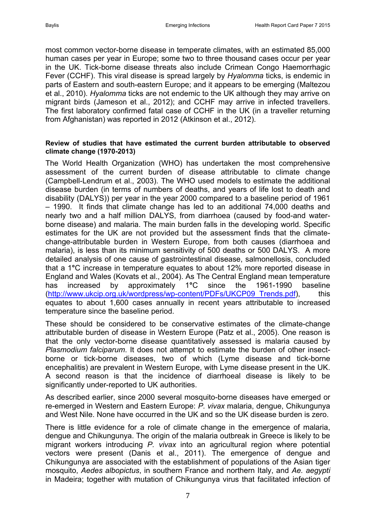most common vector-borne disease in temperate climates, with an estimated 85,000 human cases per year in Europe; some two to three thousand cases occur per year in the UK. Tick-borne disease threats also include Crimean Congo Haemorrhagic Fever (CCHF). This viral disease is spread largely by *Hyalomma* ticks, is endemic in parts of Eastern and south-eastern Europe; and it appears to be emerging [\(Maltezou](#page-14-8)  [et al., 2010\)](#page-14-8). *Hyalomma* ticks are not endemic to the UK although they may arrive on migrant birds [\(Jameson et al., 2012\)](#page-14-9); and CCHF may arrive in infected travellers. The first laboratory confirmed fatal case of CCHF in the UK (in a traveller returning from Afghanistan) was reported in 2012 [\(Atkinson et al., 2012\)](#page-13-9).

#### **Review of studies that have estimated the current burden attributable to observed climate change (1970-2013)**

The World Health Organization (WHO) has undertaken the most comprehensive assessment of the current burden of disease attributable to climate change [\(Campbell-Lendrum et al., 2003\)](#page-13-10). The WHO used models to estimate the additional disease burden (in terms of numbers of deaths, and years of life lost to death and disability (DALYS)) per year in the year 2000 compared to a baseline period of 1961 – 1990. It finds that climate change has led to an additional 74,000 deaths and nearly two and a half million DALYS, from diarrhoea (caused by food-and waterborne disease) and malaria. The main burden falls in the developing world. Specific estimates for the UK are not provided but the assessment finds that the climatechange-attributable burden in Western Europe, from both causes (diarrhoea and malaria), is less than its minimum sensitivity of 500 deaths or 500 DALYS. A more detailed analysis of one cause of gastrointestinal disease, salmonellosis, concluded that a 1**°**C increase in temperature equates to about 12% more reported disease in England and Wales [\(Kovats et al., 2004\)](#page-14-10). As The Central England mean temperature has increased by approximately 1**°**C since the 1961-1990 baseline [\(http://www.ukcip.org.uk/wordpress/wp-content/PDFs/UKCP09\\_Trends.pdf\)](http://www.ukcip.org.uk/wordpress/wp-content/PDFs/UKCP09_Trends.pdf), this equates to about 1,600 cases annually in recent years attributable to increased temperature since the baseline period.

These should be considered to be conservative estimates of the climate-change attributable burden of disease in Western Europe [\(Patz et al., 2005\)](#page-15-8). One reason is that the only vector-borne disease quantitatively assessed is malaria caused by *Plasmodium falciparum*. It does not attempt to estimate the burden of other insectborne or tick-borne diseases, two of which (Lyme disease and tick-borne encephalitis) are prevalent in Western Europe, with Lyme disease present in the UK. A second reason is that the incidence of diarrhoeal disease is likely to be significantly under-reported to UK authorities.

As described earlier, since 2000 several mosquito-borne diseases have emerged or re-emerged in Western and Eastern Europe: *P. vivax* malaria, dengue, Chikungunya and West Nile. None have occurred in the UK and so the UK disease burden is zero.

There is little evidence for a role of climate change in the emergence of malaria, dengue and Chikungunya. The origin of the malaria outbreak in Greece is likely to be migrant workers introducing *P. vivax* into an agricultural region where potential vectors were present [\(Danis et al., 2011\)](#page-13-3). The emergence of dengue and Chikungunya are associated with the establishment of populations of the Asian tiger mosquito, *Aedes albopictus*, in southern France and northern Italy, and *Ae. aegypti* in Madeira; together with mutation of Chikungunya virus that facilitated infection of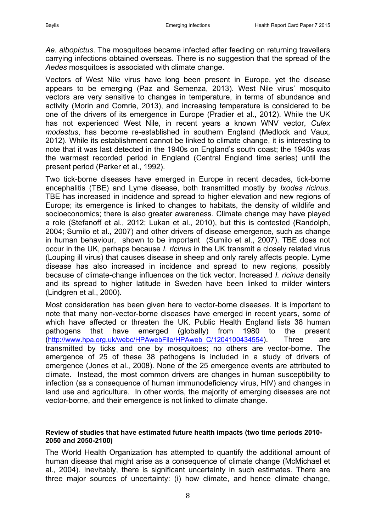*Ae. albopictus*. The mosquitoes became infected after feeding on returning travellers carrying infections obtained overseas. There is no suggestion that the spread of the *Aedes* mosquitoes is associated with climate change.

Vectors of West Nile virus have long been present in Europe, yet the disease appears to be emerging [\(Paz and Semenza, 2013\)](#page-15-9). West Nile virus' mosquito vectors are very sensitive to changes in temperature, in terms of abundance and activity (Morin and [Comrie, 2013\)](#page-15-10), and increasing temperature is considered to be one of the drivers of its emergence in Europe [\(Pradier et al., 2012\)](#page-15-11). While the UK has not experienced West Nile, in recent years a known WNV vector, *Culex modestus*, has become re-established in southern England [\(Medlock and Vaux,](#page-14-4)  [2012\)](#page-14-4). While its establishment cannot be linked to climate change, it is interesting to note that it was last detected in the 1940s on England's south coast; the 1940s was the warmest recorded period in England (Central England time series) until the present period [\(Parker et al., 1992\)](#page-15-12).

Two tick-borne diseases have emerged in Europe in recent decades, tick-borne encephalitis (TBE) and Lyme disease, both transmitted mostly by *Ixodes ricinus*. TBE has increased in incidence and spread to higher elevation and new regions of Europe; its emergence is linked to changes to habitats, the density of wildlife and socioeconomics; there is also greater awareness. Climate change may have played a role [\(Stefanoff et al., 2012;](#page-15-7) [Lukan et al., 2010\)](#page-14-11), but this is contested [\(Randolph,](#page-15-13)  [2004;](#page-15-13) [Sumilo et al., 2007\)](#page-15-14) and other drivers of disease emergence, such as change in human behaviour, shown to be important [\(Sumilo et al., 2007\)](#page-15-14). TBE does not occur in the UK, perhaps because *I. ricinus* in the UK transmit a closely related virus (Louping ill virus) that causes disease in sheep and only rarely affects people. Lyme disease has also increased in incidence and spread to new regions, possibly because of climate-change influences on the tick vector. Increased *I. ricinus* density and its spread to higher latitude in Sweden have been linked to milder winters [\(Lindgren et al., 2000\)](#page-14-12).

Most consideration has been given here to vector-borne diseases. It is important to note that many non-vector-borne diseases have emerged in recent years, some of which have affected or threaten the UK. Public Health England lists 38 human pathogens that have emerged (globally) from 1980 to the present ([http://www.hpa.org.uk/webc/HPAwebFile/HPAweb\\_C/1204100434554](http://www.hpa.org.uk/webc/HPAwebFile/HPAweb_C/1204100434554)). Three are transmitted by ticks and one by mosquitoes; no others are vector-borne. The emergence of 25 of these 38 pathogens is included in a study of drivers of emergence [\(Jones et al., 2008\)](#page-14-2). None of the 25 emergence events are attributed to climate. Instead, the most common drivers are changes in human susceptibility to infection (as a consequence of human immunodeficiency virus, HIV) and changes in land use and agriculture. In other words, the majority of emerging diseases are not vector-borne, and their emergence is not linked to climate change.

#### **Review of studies that have estimated future health impacts (two time periods 2010- 2050 and 2050-2100)**

The World Health Organization has attempted to quantify the additional amount of human disease that might arise as a consequence of climate change [\(McMichael et](#page-14-13)  [al., 2004\)](#page-14-13). Inevitably, there is significant uncertainty in such estimates. There are three major sources of uncertainty: (i) how climate, and hence climate change,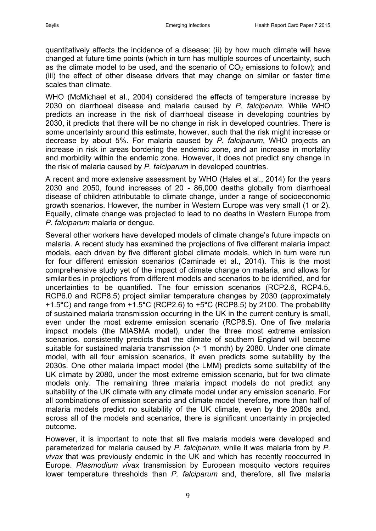quantitatively affects the incidence of a disease; (ii) by how much climate will have changed at future time points (which in turn has multiple sources of uncertainty, such as the climate model to be used, and the scenario of  $CO<sub>2</sub>$  emissions to follow); and (iii) the effect of other disease drivers that may change on similar or faster time scales than climate.

WHO [\(McMichael et al., 2004\)](#page-14-13) considered the effects of temperature increase by 2030 on diarrhoeal disease and malaria caused by *P. falciparum*. While WHO predicts an increase in the risk of diarrhoeal disease in developing countries by 2030, it predicts that there will be no change in risk in developed countries. There is some uncertainty around this estimate, however, such that the risk might increase or decrease by about 5%. For malaria caused by *P. falciparum*, WHO projects an increase in risk in areas bordering the endemic zone, and an increase in mortality and morbidity within the endemic zone. However, it does not predict any change in the risk of malaria caused by *P. falciparum* in developed countries.

A recent and more extensive assessment by WHO [\(Hales et al., 2014\)](#page-13-2) for the years 2030 and 2050, found increases of 20 - 86,000 deaths globally from diarrhoeal disease of children attributable to climate change, under a range of socioeconomic growth scenarios. However, the number in Western Europe was very small (1 or 2). Equally, climate change was projected to lead to no deaths in Western Europe from *P. falciparum* malaria or dengue.

Several other workers have developed models of climate change's future impacts on malaria. A recent study has examined the projections of five different malaria impact models, each driven by five different global climate models, which in turn were run for four different emission scenarios [\(Caminade et al., 2014\)](#page-13-11). This is the most comprehensive study yet of the impact of climate change on malaria, and allows for similarities in projections from different models and scenarios to be identified, and for uncertainties to be quantified. The four emission scenarios (RCP2.6, RCP4.5, RCP6.0 and RCP8.5) project similar temperature changes by 2030 (approximately +1.5**°**C) and range from +1.5**°**C (RCP2.6) to +5**°**C (RCP8.5) by 2100. The probability of sustained malaria transmission occurring in the UK in the current century is small, even under the most extreme emission scenario (RCP8.5). One of five malaria impact models (the MIASMA model), under the three most extreme emission scenarios, consistently predicts that the climate of southern England will become suitable for sustained malaria transmission (> 1 month) by 2080. Under one climate model, with all four emission scenarios, it even predicts some suitability by the 2030s. One other malaria impact model (the LMM) predicts some suitability of the UK climate by 2080, under the most extreme emission scenario, but for two climate models only. The remaining three malaria impact models do not predict any suitability of the UK climate with any climate model under any emission scenario. For all combinations of emission scenario and climate model therefore, more than half of malaria models predict no suitability of the UK climate, even by the 2080s and, across all of the models and scenarios, there is significant uncertainty in projected outcome.

However, it is important to note that all five malaria models were developed and parameterized for malaria caused by *P. falciparum*, while it was malaria from by *P. vivax* that was previously endemic in the UK and which has recently reoccurred in Europe. *Plasmodium vivax* transmission by European mosquito vectors requires lower temperature thresholds than *P. falciparum* and, therefore, all five malaria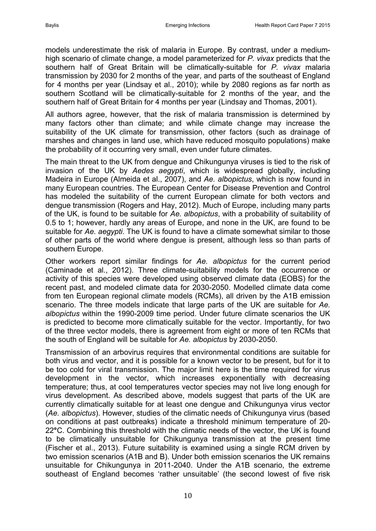models underestimate the risk of malaria in Europe. By contrast, under a mediumhigh scenario of climate change, a model parameterized for *P. vivax* predicts that the southern half of Great Britain will be climatically-suitable for *P. vivax* malaria transmission by 2030 for 2 months of the year, and parts of the southeast of England for 4 months per year [\(Lindsay et al., 2010\)](#page-14-14); while by 2080 regions as far north as southern Scotland will be climatically-suitable for 2 months of the year, and the southern half of Great Britain for 4 months per year [\(Lindsay and Thomas, 2001\)](#page-14-15).

All authors agree, however, that the risk of malaria transmission is determined by many factors other than climate; and while climate change may increase the suitability of the UK climate for transmission, other factors (such as drainage of marshes and changes in land use, which have reduced mosquito populations) make the probability of it occurring very small, even under future climates.

The main threat to the UK from dengue and Chikungunya viruses is tied to the risk of invasion of the UK by *Aedes aegypti*, which is widespread globally, including Madeira in Europe [\(Almeida et al., 2007\)](#page-13-12), and *Ae. albopictus*, which is now found in many European countries. The European Center for Disease Prevention and Control has modeled the suitability of the current European climate for both vectors and dengue transmission [\(Rogers and Hay, 2012\)](#page-15-15). Much of Europe, including many parts of the UK, is found to be suitable for *Ae. albopictus*, with a probability of suitability of 0.5 to 1; however, hardly any areas of Europe, and none in the UK, are found to be suitable for *Ae. aegypti*. The UK is found to have a climate somewhat similar to those of other parts of the world where dengue is present, although less so than parts of southern Europe.

Other workers report similar findings for *Ae. albopictus* for the current period [\(Caminade et al., 2012\)](#page-13-13). Three climate-suitability models for the occurrence or activity of this species were developed using observed climate data (EOBS) for the recent past, and modeled climate data for 2030-2050. Modelled climate data come from ten European regional climate models (RCMs), all driven by the A1B emission scenario. The three models indicate that large parts of the UK are suitable for *Ae. albopictus* within the 1990-2009 time period. Under future climate scenarios the UK is predicted to become more climatically suitable for the vector. Importantly, for two of the three vector models, there is agreement from eight or more of ten RCMs that the south of England will be suitable for *Ae. albopictus* by 2030-2050.

Transmission of an arbovirus requires that environmental conditions are suitable for both virus and vector, and it is possible for a known vector to be present, but for it to be too cold for viral transmission. The major limit here is the time required for virus development in the vector, which increases exponentially with decreasing temperature; thus, at cool temperatures vector species may not live long enough for virus development. As described above, models suggest that parts of the UK are currently climatically suitable for at least one dengue and Chikungunya virus vector (*Ae. albopictus*). However, studies of the climatic needs of Chikungunya virus (based on conditions at past outbreaks) indicate a threshold minimum temperature of 20- 22**°**C. Combining this threshold with the climatic needs of the vector, the UK is found to be climatically unsuitable for Chikungunya transmission at the present time [\(Fischer et al., 2013\)](#page-13-14). Future suitability is examined using a single RCM driven by two emission scenarios (A1B and B). Under both emission scenarios the UK remains unsuitable for Chikungunya in 2011-2040. Under the A1B scenario, the extreme southeast of England becomes 'rather unsuitable' (the second lowest of five risk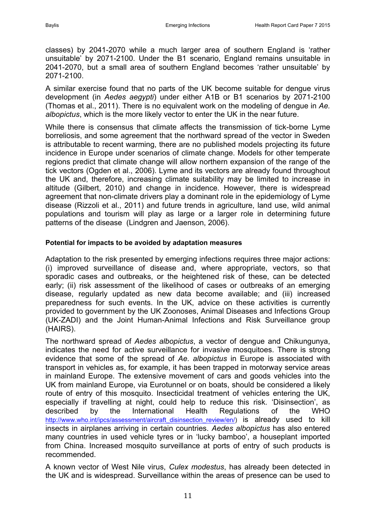classes) by 2041-2070 while a much larger area of southern England is 'rather unsuitable' by 2071-2100. Under the B1 scenario, England remains unsuitable in 2041-2070, but a small area of southern England becomes 'rather unsuitable' by 2071-2100.

A similar exercise found that no parts of the UK become suitable for dengue virus development (in *Aedes aegypti*) under either A1B or B1 scenarios by 2071-2100 [\(Thomas et al., 2011\)](#page-16-0). There is no equivalent work on the modeling of dengue in *Ae. albopictus*, which is the more likely vector to enter the UK in the near future.

While there is consensus that climate affects the transmission of tick-borne Lyme borreliosis, and some agreement that the northward spread of the vector in Sweden is attributable to recent warming, there are no published models projecting its future incidence in Europe under scenarios of climate change. Models for other temperate regions predict that climate change will allow northern expansion of the range of the tick vectors [\(Ogden et al., 2006\)](#page-15-16). Lyme and its vectors are already found throughout the UK and, therefore, increasing climate suitability may be limited to increase in altitude [\(Gilbert, 2010\)](#page-13-15) and change in incidence. However, there is widespread agreement that non-climate drivers play a dominant role in the epidemiology of Lyme disease [\(Rizzoli et al., 2011\)](#page-15-17) and future trends in agriculture, land use, wild animal populations and tourism will play as large or a larger role in determining future patterns of the disease [\(Lindgren and Jaenson, 2006\)](#page-14-16).

#### **Potential for impacts to be avoided by adaptation measures**

Adaptation to the risk presented by emerging infections requires three major actions: (i) improved surveillance of disease and, where appropriate, vectors, so that sporadic cases and outbreaks, or the heightened risk of these, can be detected early; (ii) risk assessment of the likelihood of cases or outbreaks of an emerging disease, regularly updated as new data become available; and (iii) increased preparedness for such events. In the UK, advice on these activities is currently provided to government by the UK Zoonoses, Animal Diseases and Infections Group (UK-ZADI) and the Joint Human-Animal Infections and Risk Surveillance group (HAIRS).

The northward spread of *Aedes albopictus*, a vector of dengue and Chikungunya, indicates the need for active surveillance for invasive mosquitoes. There is strong evidence that some of the spread of *Ae. albopictus* in Europe is associated with transport in vehicles as, for example, it has been trapped in motorway service areas in mainland Europe. The extensive movement of cars and goods vehicles into the UK from mainland Europe, via Eurotunnel or on boats, should be considered a likely route of entry of this mosquito. Insecticidal treatment of vehicles entering the UK, especially if travelling at night, could help to reduce this risk. 'Disinsection', as described by the International Health Regulations of the WHO [http://www.who.int/ipcs/assessment/aircraft\\_disinsection\\_review/en/\)](http://www.who.int/ipcs/assessment/aircraft_disinsection_review/en/) is already used to kill insects in airplanes arriving in certain countries. *Aedes albopictus* has also entered many countries in used vehicle tyres or in 'lucky bamboo', a houseplant imported from China. Increased mosquito surveillance at ports of entry of such products is recommended.

A known vector of West Nile virus, *Culex modestus*, has already been detected in the UK and is widespread. Surveillance within the areas of presence can be used to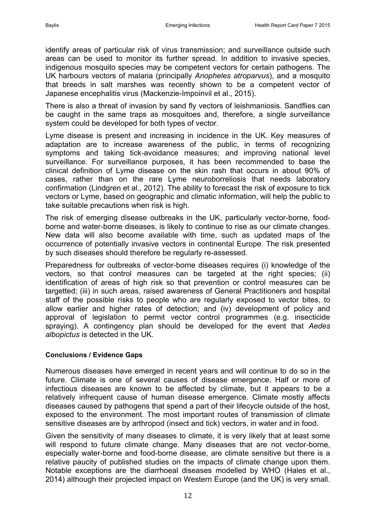identify areas of particular risk of virus transmission; and surveillance outside such areas can be used to monitor its further spread. In addition to invasive species, indigenous mosquito species may be competent vectors for certain pathogens. The UK harbours vectors of malaria (principally *Anopheles atroparvus*), and a mosquito that breeds in salt marshes was recently shown to be a competent vector of Japanese encephalitis virus [\(Mackenzie-Impoinvil et al., 2015\)](#page-14-5).

There is also a threat of invasion by sand fly vectors of leishmaniosis. Sandflies can be caught in the same traps as mosquitoes and, therefore, a single surveillance system could be developed for both types of vector.

Lyme disease is present and increasing in incidence in the UK. Key measures of adaptation are to increase awareness of the public, in terms of recognizing symptoms and taking tick-avoidance measures; and improving national level surveillance. For surveillance purposes, it has been recommended to base the clinical definition of Lyme disease on the skin rash that occurs in about 90% of cases, rather than on the rare Lyme neuroborreliosis that needs laboratory confirmation [\(Lindgren et al., 2012\)](#page-14-1). The ability to forecast the risk of exposure to tick vectors or Lyme, based on geographic and climatic information, will help the public to take suitable precautions when risk is high.

The risk of emerging disease outbreaks in the UK, particularly vector-borne, foodborne and water-borne diseases, is likely to continue to rise as our climate changes. New data will also become available with time, such as updated maps of the occurrence of potentially invasive vectors in continental Europe. The risk presented by such diseases should therefore be regularly re-assessed.

Preparedness for outbreaks of vector-borne diseases requires (i) knowledge of the vectors, so that control measures can be targeted at the right species; (ii) identification of areas of high risk so that prevention or control measures can be targetted; (iii) in such areas, raised awareness of General Practitioners and hospital staff of the possible risks to people who are regularly exposed to vector bites, to allow earlier and higher rates of detection; and (iv) development of policy and approval of legislation to permit vector control programmes (e.g. insecticide spraying). A contingency plan should be developed for the event that *Aedes albopictus* is detected in the UK.

#### **Conclusions / Evidence Gaps**

Numerous diseases have emerged in recent years and will continue to do so in the future. Climate is one of several causes of disease emergence. Half or more of infectious diseases are known to be affected by climate, but it appears to be a relatively infrequent cause of human disease emergence. Climate mostly affects diseases caused by pathogens that spend a part of their lifecycle outside of the host, exposed to the environment. The most important routes of transmission of climate sensitive diseases are by arthropod (insect and tick) vectors, in water and in food.

Given the sensitivity of many diseases to climate, it is very likely that at least some will respond to future climate change. Many diseases that are not vector-borne, especially water-borne and food-borne disease, are climate sensitive but there is a relative paucity of published studies on the impacts of climate change upon them. Notable exceptions are the diarrhoeal diseases modelled by WHO [\(Hales et al.,](#page-13-2)  [2014\)](#page-13-2) although their projected impact on Western Europe (and the UK) is very small.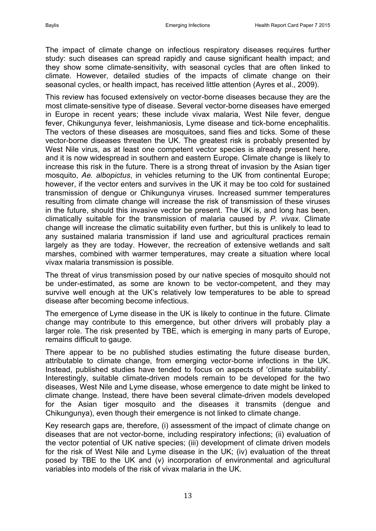The impact of climate change on infectious respiratory diseases requires further study: such diseases can spread rapidly and cause significant health impact; and they show some climate-sensitivity, with seasonal cycles that are often linked to climate. However, detailed studies of the impacts of climate change on their seasonal cycles, or health impact, has received little attention [\(Ayres et al., 2009\)](#page-13-16).

This review has focused extensively on vector-borne diseases because they are the most climate-sensitive type of disease. Several vector-borne diseases have emerged in Europe in recent years; these include vivax malaria, West Nile fever, dengue fever, Chikungunya fever, leishmaniosis, Lyme disease and tick-borne encephalitis. The vectors of these diseases are mosquitoes, sand flies and ticks. Some of these vector-borne diseases threaten the UK. The greatest risk is probably presented by West Nile virus, as at least one competent vector species is already present here, and it is now widespread in southern and eastern Europe. Climate change is likely to increase this risk in the future. There is a strong threat of invasion by the Asian tiger mosquito, *Ae. albopictus*, in vehicles returning to the UK from continental Europe; however, if the vector enters and survives in the UK it may be too cold for sustained transmission of dengue or Chikungunya viruses. Increased summer temperatures resulting from climate change will increase the risk of transmission of these viruses in the future, should this invasive vector be present. The UK is, and long has been, climatically suitable for the transmission of malaria caused by *P. vivax*. Climate change will increase the climatic suitability even further, but this is unlikely to lead to any sustained malaria transmission if land use and agricultural practices remain largely as they are today. However, the recreation of extensive wetlands and salt marshes, combined with warmer temperatures, may create a situation where local vivax malaria transmission is possible.

The threat of virus transmission posed by our native species of mosquito should not be under-estimated, as some are known to be vector-competent, and they may survive well enough at the UK's relatively low temperatures to be able to spread disease after becoming become infectious.

The emergence of Lyme disease in the UK is likely to continue in the future. Climate change may contribute to this emergence, but other drivers will probably play a larger role. The risk presented by TBE, which is emerging in many parts of Europe, remains difficult to gauge.

There appear to be no published studies estimating the future disease burden, attributable to climate change, from emerging vector-borne infections in the UK. Instead, published studies have tended to focus on aspects of 'climate suitability'. Interestingly, suitable climate-driven models remain to be developed for the two diseases, West Nile and Lyme disease, whose emergence to date might be linked to climate change. Instead, there have been several climate-driven models developed for the Asian tiger mosquito and the diseases it transmits (dengue and Chikungunya), even though their emergence is not linked to climate change.

Key research gaps are, therefore, (i) assessment of the impact of climate change on diseases that are not vector-borne, including respiratory infections; (ii) evaluation of the vector potential of UK native species; (iii) development of climate driven models for the risk of West Nile and Lyme disease in the UK; (iv) evaluation of the threat posed by TBE to the UK and (v) incorporation of environmental and agricultural variables into models of the risk of vivax malaria in the UK.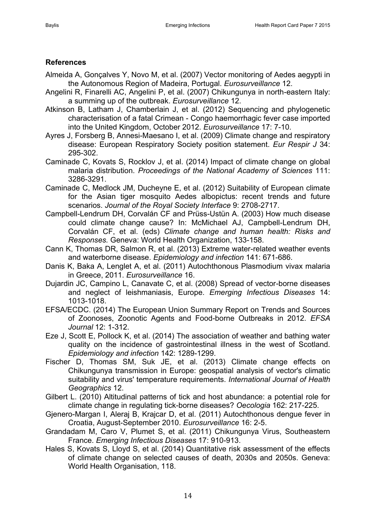### **References**

- <span id="page-13-12"></span>Almeida A, Gonçalves Y, Novo M, et al. (2007) Vector monitoring of Aedes aegypti in the Autonomous Region of Madeira, Portugal. *Eurosurveillance* 12.
- <span id="page-13-5"></span>Angelini R, Finarelli AC, Angelini P, et al. (2007) Chikungunya in north-eastern Italy: a summing up of the outbreak. *Eurosurveillance* 12.
- <span id="page-13-9"></span>Atkinson B, Latham J, Chamberlain J, et al. (2012) Sequencing and phylogenetic characterisation of a fatal Crimean - Congo haemorrhagic fever case imported into the United Kingdom, October 2012. *Eurosurveillance* 17: 7-10.
- <span id="page-13-16"></span>Ayres J, Forsberg B, Annesi-Maesano I, et al. (2009) Climate change and respiratory disease: European Respiratory Society position statement. *Eur Respir J* 34: 295-302.
- <span id="page-13-11"></span>Caminade C, Kovats S, Rocklov J, et al. (2014) Impact of climate change on global malaria distribution. *Proceedings of the National Academy of Sciences* 111: 3286-3291.
- <span id="page-13-13"></span>Caminade C, Medlock JM, Ducheyne E, et al. (2012) Suitability of European climate for the Asian tiger mosquito Aedes albopictus: recent trends and future scenarios. *Journal of the Royal Society Interface* 9: 2708-2717.
- <span id="page-13-10"></span>Campbell-Lendrum DH, Corvalán CF and Prüss-Ustün A. (2003) How much disease could climate change cause? In: McMichael AJ, Campbell-Lendrum DH, Corvalán CF, et al. (eds) *Climate change and human health: Risks and Responses.* Geneva: World Health Organization, 133-158.
- <span id="page-13-0"></span>Cann K, Thomas DR, Salmon R, et al. (2013) Extreme water-related weather events and waterborne disease. *Epidemiology and infection* 141: 671-686.
- <span id="page-13-3"></span>Danis K, Baka A, Lenglet A, et al. (2011) Autochthonous Plasmodium vivax malaria in Greece, 2011. *Eurosurveillance* 16.
- <span id="page-13-8"></span>Dujardin JC, Campino L, Canavate C, et al. (2008) Spread of vector-borne diseases and neglect of leishmaniasis, Europe. *Emerging Infectious Diseases* 14: 1013-1018.
- <span id="page-13-4"></span>EFSA/ECDC. (2014) The European Union Summary Report on Trends and Sources of Zoonoses, Zoonotic Agents and Food-borne Outbreaks in 2012. *EFSA Journal* 12: 1-312.
- <span id="page-13-1"></span>Eze J, Scott E, Pollock K, et al. (2014) The association of weather and bathing water quality on the incidence of gastrointestinal illness in the west of Scotland. *Epidemiology and infection* 142: 1289-1299.
- <span id="page-13-14"></span>Fischer D, Thomas SM, Suk JE, et al. (2013) Climate change effects on Chikungunya transmission in Europe: geospatial analysis of vector's climatic suitability and virus' temperature requirements. *International Journal of Health Geographics* 12.
- <span id="page-13-15"></span>Gilbert L. (2010) Altitudinal patterns of tick and host abundance: a potential role for climate change in regulating tick-borne diseases? *Oecologia* 162: 217-225.
- <span id="page-13-7"></span>Gjenero-Margan I, Aleraj B, Krajcar D, et al. (2011) Autochthonous dengue fever in Croatia, August-September 2010. *Eurosurveillance* 16: 2-5.
- <span id="page-13-6"></span>Grandadam M, Caro V, Plumet S, et al. (2011) Chikungunya Virus, Southeastern France. *Emerging Infectious Diseases* 17: 910-913.
- <span id="page-13-2"></span>Hales S, Kovats S, Lloyd S, et al. (2014) Quantitative risk assessment of the effects of climate change on selected causes of death, 2030s and 2050s. Geneva: World Health Organisation, 118.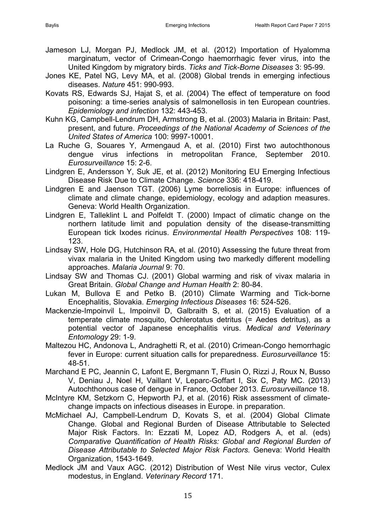- <span id="page-14-9"></span>Jameson LJ, Morgan PJ, Medlock JM, et al. (2012) Importation of Hyalomma marginatum, vector of Crimean-Congo haemorrhagic fever virus, into the United Kingdom by migratory birds. *Ticks and Tick-Borne Diseases* 3: 95-99.
- <span id="page-14-2"></span>Jones KE, Patel NG, Levy MA, et al. (2008) Global trends in emerging infectious diseases. *Nature* 451: 990-993.
- <span id="page-14-10"></span>Kovats RS, Edwards SJ, Hajat S, et al. (2004) The effect of temperature on food poisoning: a time-series analysis of salmonellosis in ten European countries. *Epidemiology and infection* 132: 443-453.
- <span id="page-14-3"></span>Kuhn KG, Campbell-Lendrum DH, Armstrong B, et al. (2003) Malaria in Britain: Past, present, and future. *Proceedings of the National Academy of Sciences of the United States of America* 100: 9997-10001.
- <span id="page-14-6"></span>La Ruche G, Souares Y, Armengaud A, et al. (2010) First two autochthonous dengue virus infections in metropolitan France, September 2010. *Eurosurveillance* 15: 2-6.
- <span id="page-14-1"></span>Lindgren E, Andersson Y, Suk JE, et al. (2012) Monitoring EU Emerging Infectious Disease Risk Due to Climate Change. *Science* 336: 418-419.
- <span id="page-14-16"></span>Lindgren E and Jaenson TGT. (2006) Lyme borreliosis in Europe: influences of climate and climate change, epidemiology, ecology and adaption measures. Geneva: World Health Organization.
- <span id="page-14-12"></span>Lindgren E, Talleklint L and Polfeldt T. (2000) Impact of climatic change on the northern latitude limit and population density of the disease-transmitting European tick Ixodes ricinus. *Environmental Health Perspectives* 108: 119- 123.
- <span id="page-14-14"></span>Lindsay SW, Hole DG, Hutchinson RA, et al. (2010) Assessing the future threat from vivax malaria in the United Kingdom using two markedly different modelling approaches. *Malaria Journal* 9: 70.
- <span id="page-14-15"></span>Lindsay SW and Thomas CJ. (2001) Global warming and risk of vivax malaria in Great Britain. *Global Change and Human Health* 2: 80-84.
- <span id="page-14-11"></span>Lukan M, Bullova E and Petko B. (2010) Climate Warming and Tick-borne Encephalitis, Slovakia. *Emerging Infectious Diseases* 16: 524-526.
- <span id="page-14-5"></span>Mackenzie-Impoinvil L, Impoinvil D, Galbraith S, et al. (2015) Evaluation of a temperate climate mosquito, Ochlerotatus detritus (= Aedes detritus), as a potential vector of Japanese encephalitis virus. *Medical and Veterinary Entomology* 29: 1-9.
- <span id="page-14-8"></span>Maltezou HC, Andonova L, Andraghetti R, et al. (2010) Crimean-Congo hemorrhagic fever in Europe: current situation calls for preparedness. *Eurosurveillance* 15: 48-51.
- <span id="page-14-7"></span>Marchand E PC, Jeannin C, Lafont E, Bergmann T, Flusin O, Rizzi J, Roux N, Busso V, Deniau J, Noel H, Vaillant V, Leparc-Goffart I, Six C, Paty MC. (2013) Autochthonous case of dengue in France, October 2013. *Eurosurveillance* 18.
- <span id="page-14-0"></span>McIntyre KM, Setzkorn C, Hepworth PJ, et al. (2016) Risk assessment of climatechange impacts on infectious diseases in Europe. in preparation.
- <span id="page-14-13"></span>McMichael AJ, Campbell-Lendrum D, Kovats S, et al. (2004) Global Climate Change. Global and Regional Burden of Disease Attributable to Selected Major Risk Factors. In: Ezzati M, Lopez AD, Rodgers A, et al. (eds) *Comparative Quantification of Health Risks: Global and Regional Burden of Disease Attributable to Selected Major Risk Factors.* Geneva: World Health Organization, 1543-1649.
- <span id="page-14-4"></span>Medlock JM and Vaux AGC. (2012) Distribution of West Nile virus vector, Culex modestus, in England. *Veterinary Record* 171.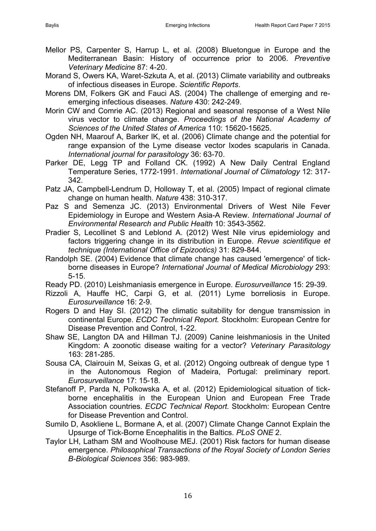- <span id="page-15-3"></span>Mellor PS, Carpenter S, Harrup L, et al. (2008) Bluetongue in Europe and the Mediterranean Basin: History of occurrence prior to 2006. *Preventive Veterinary Medicine* 87: 4-20.
- <span id="page-15-2"></span>Morand S, Owers KA, Waret-Szkuta A, et al. (2013) Climate variability and outbreaks of infectious diseases in Europe. *Scientific Reports*.
- <span id="page-15-0"></span>Morens DM, Folkers GK and Fauci AS. (2004) The challenge of emerging and reemerging infectious diseases. *Nature* 430: 242-249.
- <span id="page-15-10"></span>Morin CW and Comrie AC. (2013) Regional and seasonal response of a West Nile virus vector to climate change. *Proceedings of the National Academy of Sciences of the United States of America* 110: 15620-15625.
- <span id="page-15-16"></span>Ogden NH, Maarouf A, Barker IK, et al. (2006) Climate change and the potential for range expansion of the Lyme disease vector Ixodes scapularis in Canada. *International journal for parasitology* 36: 63-70.
- <span id="page-15-12"></span>Parker DE, Legg TP and Folland CK. (1992) A New Daily Central England Temperature Series, 1772-1991. *International Journal of Climatology* 12: 317- 342.
- <span id="page-15-8"></span>Patz JA, Campbell-Lendrum D, Holloway T, et al. (2005) Impact of regional climate change on human health. *Nature* 438: 310-317.
- <span id="page-15-9"></span>Paz S and Semenza JC. (2013) Environmental Drivers of West Nile Fever Epidemiology in Europe and Western Asia-A Review. *International Journal of Environmental Research and Public Health* 10: 3543-3562.
- <span id="page-15-11"></span>Pradier S, Lecollinet S and Leblond A. (2012) West Nile virus epidemiology and factors triggering change in its distribution in Europe. *Revue scientifique et technique (International Office of Epizootics)* 31: 829-844.
- <span id="page-15-13"></span>Randolph SE. (2004) Evidence that climate change has caused 'emergence' of tickborne diseases in Europe? *International Journal of Medical Microbiology* 293: 5-15.
- <span id="page-15-5"></span>Ready PD. (2010) Leishmaniasis emergence in Europe. *Eurosurveillance* 15: 29-39.
- <span id="page-15-17"></span>Rizzoli A, Hauffe HC, Carpi G, et al. (2011) Lyme borreliosis in Europe. *Eurosurveillance* 16: 2-9.
- <span id="page-15-15"></span>Rogers D and Hay SI. (2012) The climatic suitability for dengue transmission in continental Europe. *ECDC Technical Report.* Stockholm: European Centre for Disease Prevention and Control, 1-22.
- <span id="page-15-6"></span>Shaw SE, Langton DA and Hillman TJ. (2009) Canine leishmaniosis in the United Kingdom: A zoonotic disease waiting for a vector? *Veterinary Parasitology* 163: 281-285.
- <span id="page-15-4"></span>Sousa CA, Clairouin M, Seixas G, et al. (2012) Ongoing outbreak of dengue type 1 in the Autonomous Region of Madeira, Portugal: preliminary report. *Eurosurveillance* 17: 15-18.
- <span id="page-15-7"></span>Stefanoff P, Parda N, Polkowska A, et al. (2012) Epidemiological situation of tickborne encephalitis in the European Union and European Free Trade Association countries. *ECDC Technical Report.* Stockholm: European Centre for Disease Prevention and Control.
- <span id="page-15-14"></span>Sumilo D, Asokliene L, Bormane A, et al. (2007) Climate Change Cannot Explain the Upsurge of Tick-Borne Encephalitis in the Baltics. *PLoS ONE* 2.
- <span id="page-15-1"></span>Taylor LH, Latham SM and Woolhouse MEJ. (2001) Risk factors for human disease emergence. *Philosophical Transactions of the Royal Society of London Series B-Biological Sciences* 356: 983-989.